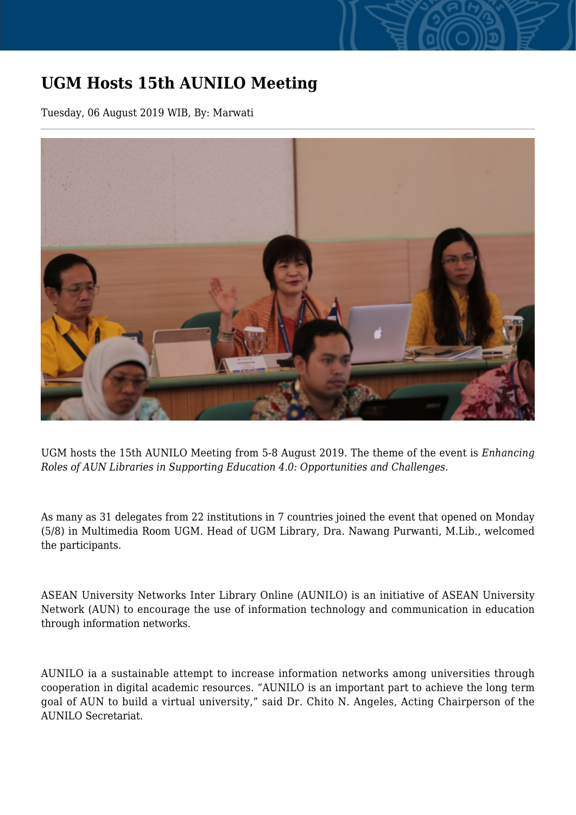## **UGM Hosts 15th AUNILO Meeting**

Tuesday, 06 August 2019 WIB, By: Marwati



UGM hosts the 15th AUNILO Meeting from 5-8 August 2019. The theme of the event is *Enhancing Roles of AUN Libraries in Supporting Education 4.0: Opportunities and Challenges.*

As many as 31 delegates from 22 institutions in 7 countries joined the event that opened on Monday (5/8) in Multimedia Room UGM. Head of UGM Library, Dra. Nawang Purwanti, M.Lib., welcomed the participants.

ASEAN University Networks Inter Library Online (AUNILO) is an initiative of ASEAN University Network (AUN) to encourage the use of information technology and communication in education through information networks.

AUNILO ia a sustainable attempt to increase information networks among universities through cooperation in digital academic resources. "AUNILO is an important part to achieve the long term goal of AUN to build a virtual university," said Dr. Chito N. Angeles, Acting Chairperson of the AUNILO Secretariat.